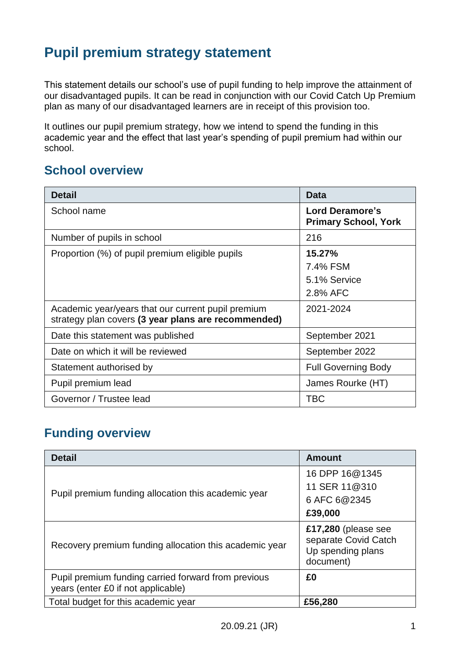# **Pupil premium strategy statement**

This statement details our school's use of pupil funding to help improve the attainment of our disadvantaged pupils. It can be read in conjunction with our Covid Catch Up Premium plan as many of our disadvantaged learners are in receipt of this provision too.

It outlines our pupil premium strategy, how we intend to spend the funding in this academic year and the effect that last year's spending of pupil premium had within our school.

#### **School overview**

| <b>Detail</b>                                                                                             | <b>Data</b>                                    |
|-----------------------------------------------------------------------------------------------------------|------------------------------------------------|
| School name                                                                                               | Lord Deramore's<br><b>Primary School, York</b> |
| Number of pupils in school                                                                                | 216                                            |
| Proportion (%) of pupil premium eligible pupils                                                           | 15.27%<br>7.4% FSM<br>5.1% Service<br>2.8% AFC |
| Academic year/years that our current pupil premium<br>strategy plan covers (3 year plans are recommended) | 2021-2024                                      |
| Date this statement was published                                                                         | September 2021                                 |
| Date on which it will be reviewed                                                                         | September 2022                                 |
| Statement authorised by                                                                                   | <b>Full Governing Body</b>                     |
| Pupil premium lead                                                                                        | James Rourke (HT)                              |
| Governor / Trustee lead                                                                                   | <b>TBC</b>                                     |

### **Funding overview**

| <b>Detail</b>                                                                             | <b>Amount</b>                                                                 |
|-------------------------------------------------------------------------------------------|-------------------------------------------------------------------------------|
|                                                                                           | 16 DPP 16@1345                                                                |
| Pupil premium funding allocation this academic year                                       | 11 SER 11@310                                                                 |
|                                                                                           | 6 AFC 6@2345                                                                  |
|                                                                                           | £39,000                                                                       |
| Recovery premium funding allocation this academic year                                    | £17,280 (please see<br>separate Covid Catch<br>Up spending plans<br>document) |
| Pupil premium funding carried forward from previous<br>years (enter £0 if not applicable) | £0                                                                            |
| Total budget for this academic year                                                       | £56,280                                                                       |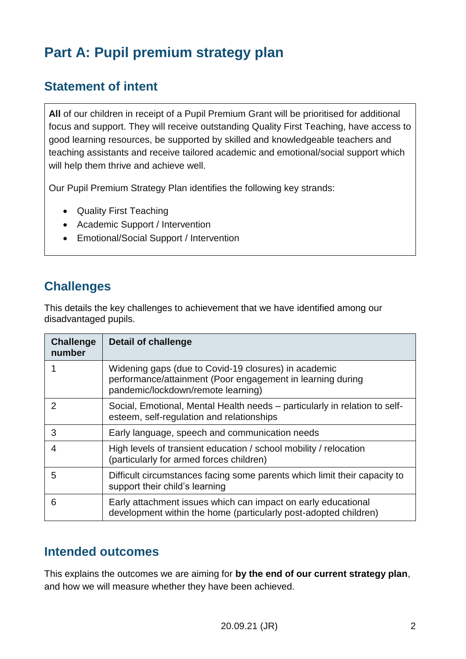# **Part A: Pupil premium strategy plan**

### **Statement of intent**

**All** of our children in receipt of a Pupil Premium Grant will be prioritised for additional focus and support. They will receive outstanding Quality First Teaching, have access to good learning resources, be supported by skilled and knowledgeable teachers and teaching assistants and receive tailored academic and emotional/social support which will help them thrive and achieve well.

Our Pupil Premium Strategy Plan identifies the following key strands:

- Quality First Teaching
- Academic Support / Intervention
- Emotional/Social Support / Intervention

### **Challenges**

This details the key challenges to achievement that we have identified among our disadvantaged pupils.

| <b>Challenge</b><br>number | <b>Detail of challenge</b>                                                                                                                               |
|----------------------------|----------------------------------------------------------------------------------------------------------------------------------------------------------|
|                            | Widening gaps (due to Covid-19 closures) in academic<br>performance/attainment (Poor engagement in learning during<br>pandemic/lockdown/remote learning) |
| 2                          | Social, Emotional, Mental Health needs – particularly in relation to self-<br>esteem, self-regulation and relationships                                  |
| 3                          | Early language, speech and communication needs                                                                                                           |
| 4                          | High levels of transient education / school mobility / relocation<br>(particularly for armed forces children)                                            |
| 5                          | Difficult circumstances facing some parents which limit their capacity to<br>support their child's learning                                              |
| 6                          | Early attachment issues which can impact on early educational<br>development within the home (particularly post-adopted children)                        |

#### **Intended outcomes**

This explains the outcomes we are aiming for **by the end of our current strategy plan**, and how we will measure whether they have been achieved.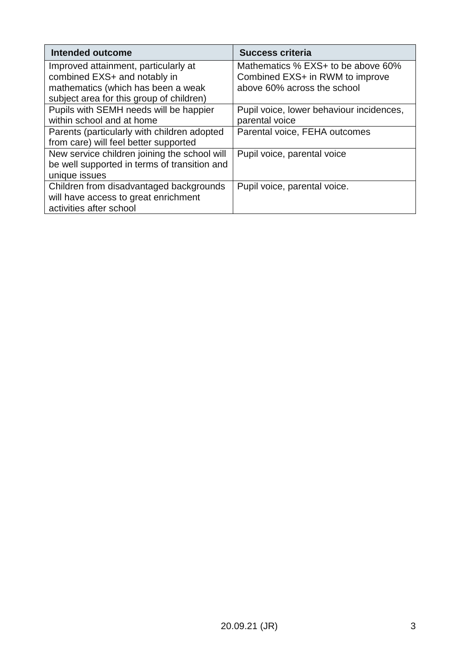| <b>Intended outcome</b>                      | <b>Success criteria</b>                  |
|----------------------------------------------|------------------------------------------|
| Improved attainment, particularly at         | Mathematics % EXS+ to be above 60%       |
| combined EXS+ and notably in                 | Combined EXS+ in RWM to improve          |
| mathematics (which has been a weak           | above 60% across the school              |
| subject area for this group of children)     |                                          |
| Pupils with SEMH needs will be happier       | Pupil voice, lower behaviour incidences, |
| within school and at home                    | parental voice                           |
| Parents (particularly with children adopted  | Parental voice, FEHA outcomes            |
| from care) will feel better supported        |                                          |
| New service children joining the school will | Pupil voice, parental voice              |
| be well supported in terms of transition and |                                          |
| unique issues                                |                                          |
| Children from disadvantaged backgrounds      | Pupil voice, parental voice.             |
| will have access to great enrichment         |                                          |
| activities after school                      |                                          |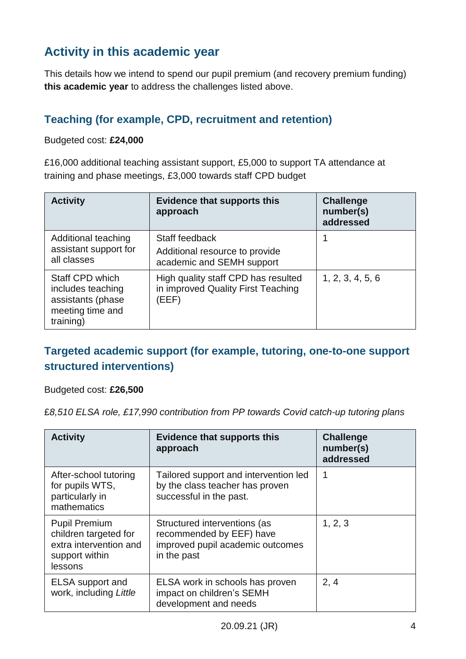## **Activity in this academic year**

This details how we intend to spend our pupil premium (and recovery premium funding) **this academic year** to address the challenges listed above.

#### **Teaching (for example, CPD, recruitment and retention)**

Budgeted cost: **£24,000**

£16,000 additional teaching assistant support, £5,000 to support TA attendance at training and phase meetings, £3,000 towards staff CPD budget

| <b>Activity</b>                                                                            | <b>Evidence that supports this</b><br>approach                                     | <b>Challenge</b><br>number(s)<br>addressed |
|--------------------------------------------------------------------------------------------|------------------------------------------------------------------------------------|--------------------------------------------|
| Additional teaching<br>assistant support for<br>all classes                                | Staff feedback<br>Additional resource to provide<br>academic and SEMH support      |                                            |
| Staff CPD which<br>includes teaching<br>assistants (phase<br>meeting time and<br>training) | High quality staff CPD has resulted<br>in improved Quality First Teaching<br>(EEF) | 1, 2, 3, 4, 5, 6                           |

#### **Targeted academic support (for example, tutoring, one-to-one support structured interventions)**

#### Budgeted cost: **£26,500**

£*8,510 ELSA role, £17,990 contribution from PP towards Covid catch-up tutoring plans*

| <b>Activity</b>                                                                                      | <b>Evidence that supports this</b><br>approach                                                              | <b>Challenge</b><br>number(s)<br>addressed |
|------------------------------------------------------------------------------------------------------|-------------------------------------------------------------------------------------------------------------|--------------------------------------------|
| After-school tutoring<br>for pupils WTS,<br>particularly in<br>mathematics                           | Tailored support and intervention led<br>by the class teacher has proven<br>successful in the past.         | 1                                          |
| <b>Pupil Premium</b><br>children targeted for<br>extra intervention and<br>support within<br>lessons | Structured interventions (as<br>recommended by EEF) have<br>improved pupil academic outcomes<br>in the past | 1, 2, 3                                    |
| ELSA support and<br>work, including Little                                                           | ELSA work in schools has proven<br>impact on children's SEMH<br>development and needs                       | 2, 4                                       |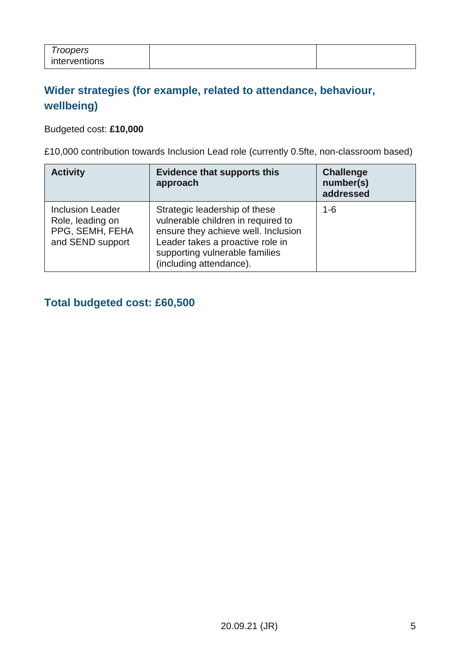| Troopers      |  |
|---------------|--|
| interventions |  |

### **Wider strategies (for example, related to attendance, behaviour, wellbeing)**

#### Budgeted cost: **£10,000**

£10,000 contribution towards Inclusion Lead role (currently 0.5fte, non-classroom based)

| <b>Activity</b>                                                                    | <b>Evidence that supports this</b><br>approach                                                                                                                                                              | <b>Challenge</b><br>number(s)<br>addressed |
|------------------------------------------------------------------------------------|-------------------------------------------------------------------------------------------------------------------------------------------------------------------------------------------------------------|--------------------------------------------|
| <b>Inclusion Leader</b><br>Role, leading on<br>PPG, SEMH, FEHA<br>and SEND support | Strategic leadership of these<br>vulnerable children in required to<br>ensure they achieve well. Inclusion<br>Leader takes a proactive role in<br>supporting vulnerable families<br>(including attendance). | $1 - 6$                                    |

#### **Total budgeted cost: £60,500**